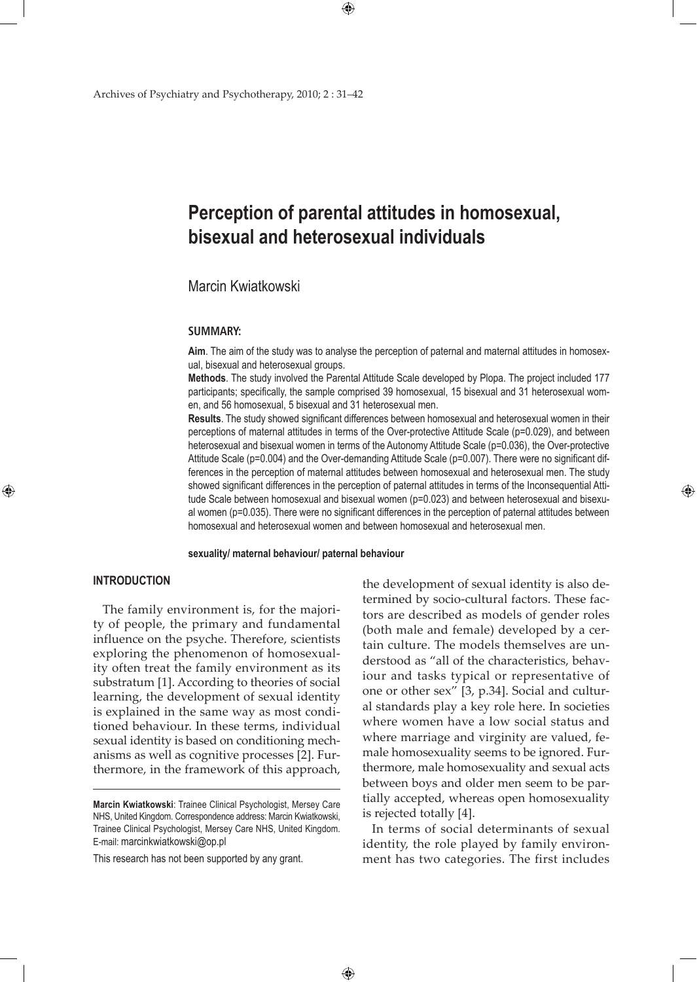# **Perception of parental attitudes in homosexual, bisexual and heterosexual individuals**

## Marcin Kwiatkowski

#### **SUMMARY:**

**Aim**. The aim of the study was to analyse the perception of paternal and maternal attitudes in homosexual, bisexual and heterosexual groups.

**Methods**. The study involved the Parental Attitude Scale developed by Plopa. The project included 177 participants; specifically, the sample comprised 39 homosexual, 15 bisexual and 31 heterosexual women, and 56 homosexual, 5 bisexual and 31 heterosexual men.

**Results**. The study showed significant differences between homosexual and heterosexual women in their perceptions of maternal attitudes in terms of the Over-protective Attitude Scale (p=0.029), and between heterosexual and bisexual women in terms of the Autonomy Attitude Scale (p=0.036), the Over-protective Attitude Scale (p=0.004) and the Over-demanding Attitude Scale (p=0.007). There were no significant differences in the perception of maternal attitudes between homosexual and heterosexual men. The study showed significant differences in the perception of paternal attitudes in terms of the Inconsequential Attitude Scale between homosexual and bisexual women (p=0.023) and between heterosexual and bisexual women (p=0.035). There were no significant differences in the perception of paternal attitudes between homosexual and heterosexual women and between homosexual and heterosexual men.

### **sexuality/ maternal behaviour/ paternal behaviour**

 $\bigoplus$ 

### **INTRODUCTION**

⊕

The family environment is, for the majority of people, the primary and fundamental influence on the psyche. Therefore, scientists exploring the phenomenon of homosexuality often treat the family environment as its substratum [1]. According to theories of social learning, the development of sexual identity is explained in the same way as most conditioned behaviour. In these terms, individual sexual identity is based on conditioning mechanisms as well as cognitive processes [2]. Furthermore, in the framework of this approach,

This research has not been supported by any grant.

the development of sexual identity is also determined by socio-cultural factors. These factors are described as models of gender roles (both male and female) developed by a certain culture. The models themselves are understood as "all of the characteristics, behaviour and tasks typical or representative of one or other sex" [3, p.34]. Social and cultural standards play a key role here. In societies where women have a low social status and where marriage and virginity are valued, female homosexuality seems to be ignored. Furthermore, male homosexuality and sexual acts between boys and older men seem to be partially accepted, whereas open homosexuality is rejected totally [4].

⊕

In terms of social determinants of sexual identity, the role played by family environment has two categories. The first includes

**Marcin Kwiatkowski**: Trainee Clinical Psychologist, Mersey Care NHS, United Kingdom. Correspondence address: Marcin Kwiatkowski, Trainee Clinical Psychologist, Mersey Care NHS, United Kingdom. E-mail: marcinkwiatkowski@op.pl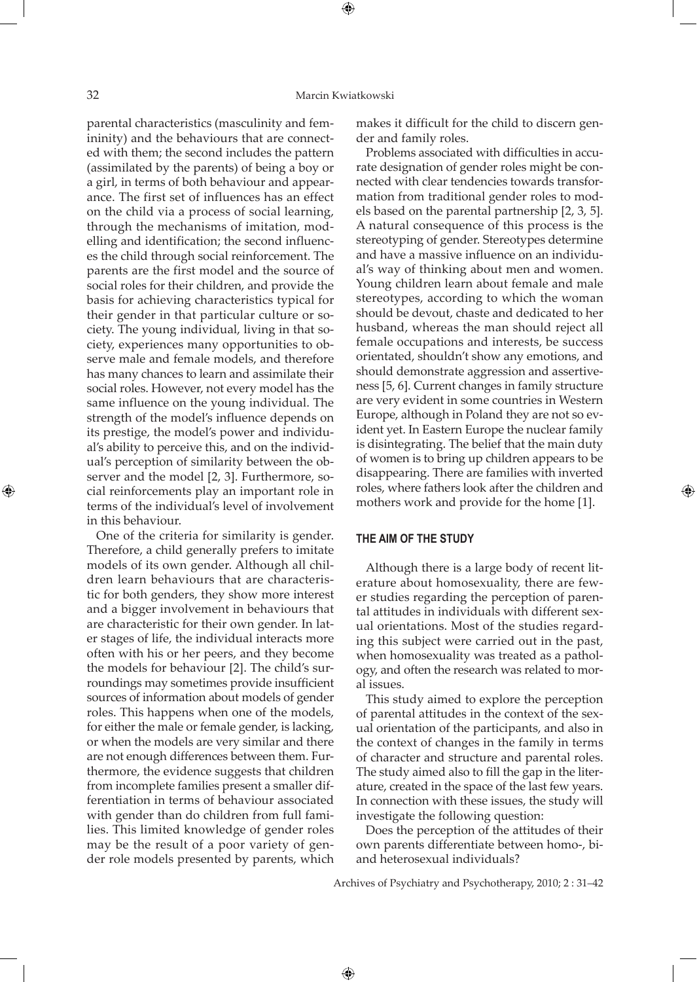parental characteristics (masculinity and femininity) and the behaviours that are connected with them; the second includes the pattern (assimilated by the parents) of being a boy or a girl, in terms of both behaviour and appearance. The first set of influences has an effect on the child via a process of social learning, through the mechanisms of imitation, modelling and identification; the second influences the child through social reinforcement. The parents are the first model and the source of social roles for their children, and provide the basis for achieving characteristics typical for their gender in that particular culture or society. The young individual, living in that society, experiences many opportunities to observe male and female models, and therefore has many chances to learn and assimilate their social roles. However, not every model has the same influence on the young individual. The strength of the model's influence depends on its prestige, the model's power and individual's ability to perceive this, and on the individual's perception of similarity between the observer and the model [2, 3]. Furthermore, social reinforcements play an important role in terms of the individual's level of involvement in this behaviour.

One of the criteria for similarity is gender. Therefore, a child generally prefers to imitate models of its own gender. Although all children learn behaviours that are characteristic for both genders, they show more interest and a bigger involvement in behaviours that are characteristic for their own gender. In later stages of life, the individual interacts more often with his or her peers, and they become the models for behaviour [2]. The child's surroundings may sometimes provide insufficient sources of information about models of gender roles. This happens when one of the models, for either the male or female gender, is lacking, or when the models are very similar and there are not enough differences between them. Furthermore, the evidence suggests that children from incomplete families present a smaller differentiation in terms of behaviour associated with gender than do children from full families. This limited knowledge of gender roles may be the result of a poor variety of gender role models presented by parents, which

makes it difficult for the child to discern gender and family roles.

Problems associated with difficulties in accurate designation of gender roles might be connected with clear tendencies towards transformation from traditional gender roles to models based on the parental partnership [2, 3, 5]. A natural consequence of this process is the stereotyping of gender. Stereotypes determine and have a massive influence on an individual's way of thinking about men and women. Young children learn about female and male stereotypes, according to which the woman should be devout, chaste and dedicated to her husband, whereas the man should reject all female occupations and interests, be success orientated, shouldn't show any emotions, and should demonstrate aggression and assertiveness [5, 6]. Current changes in family structure are very evident in some countries in Western Europe, although in Poland they are not so evident yet. In Eastern Europe the nuclear family is disintegrating. The belief that the main duty of women is to bring up children appears to be disappearing. There are families with inverted roles, where fathers look after the children and mothers work and provide for the home [1].

## **THE AIM OF THE STUDY**

Although there is a large body of recent literature about homosexuality, there are fewer studies regarding the perception of parental attitudes in individuals with different sexual orientations. Most of the studies regarding this subject were carried out in the past, when homosexuality was treated as a pathology, and often the research was related to moral issues.

⊕

This study aimed to explore the perception of parental attitudes in the context of the sexual orientation of the participants, and also in the context of changes in the family in terms of character and structure and parental roles. The study aimed also to fill the gap in the literature, created in the space of the last few years. In connection with these issues, the study will investigate the following question:

Does the perception of the attitudes of their own parents differentiate between homo-, biand heterosexual individuals?

Archives of Psychiatry and Psychotherapy, 2010; 2 : 31–42

⊕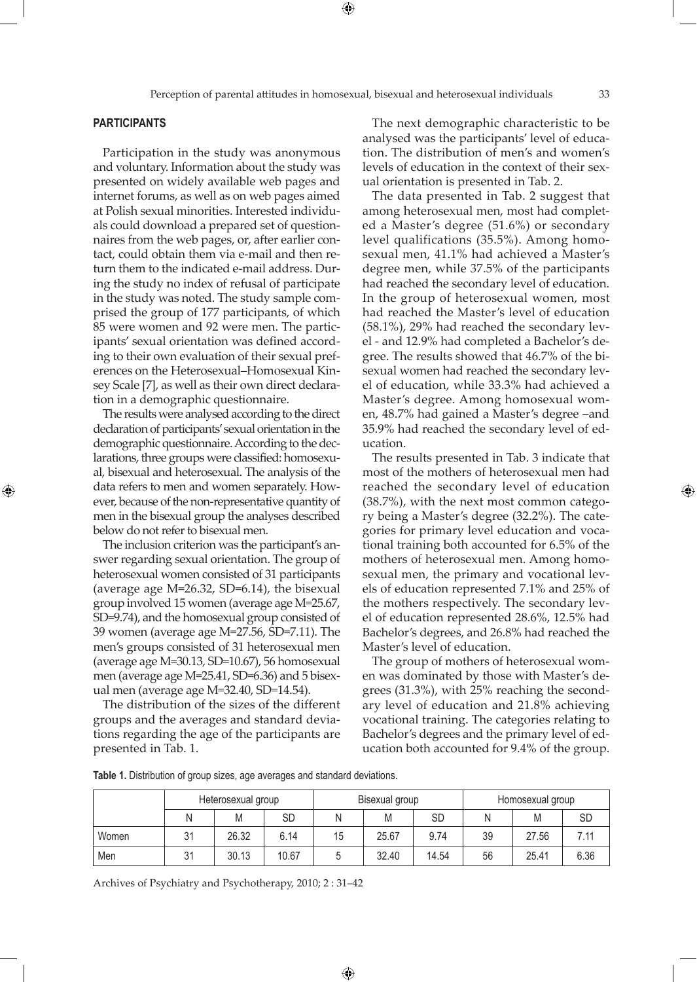⊕

## **PARTICIPANTS**

⊕

Participation in the study was anonymous and voluntary. Information about the study was presented on widely available web pages and internet forums, as well as on web pages aimed at Polish sexual minorities. Interested individuals could download a prepared set of questionnaires from the web pages, or, after earlier contact, could obtain them via e-mail and then return them to the indicated e-mail address. During the study no index of refusal of participate in the study was noted. The study sample comprised the group of 177 participants, of which 85 were women and 92 were men. The participants' sexual orientation was defined according to their own evaluation of their sexual preferences on the Heterosexual–Homosexual Kinsey Scale [7], as well as their own direct declaration in a demographic questionnaire.

The results were analysed according to the direct declaration of participants' sexual orientation in the demographic questionnaire. According to the declarations, three groups were classified: homosexual, bisexual and heterosexual. The analysis of the data refers to men and women separately. However, because of the non-representative quantity of men in the bisexual group the analyses described below do not refer to bisexual men.

The inclusion criterion was the participant's answer regarding sexual orientation. The group of heterosexual women consisted of 31 participants (average age M=26.32, SD=6.14), the bisexual group involved 15 women (average age M=25.67, SD=9.74), and the homosexual group consisted of 39 women (average age M=27.56, SD=7.11). The men's groups consisted of 31 heterosexual men (average age M=30.13, SD=10.67), 56 homosexual men (average age M=25.41, SD=6.36) and 5 bisexual men (average age M=32.40, SD=14.54).

The distribution of the sizes of the different groups and the averages and standard deviations regarding the age of the participants are presented in Tab. 1.

The next demographic characteristic to be analysed was the participants' level of education. The distribution of men's and women's levels of education in the context of their sexual orientation is presented in Tab. 2.

The data presented in Tab. 2 suggest that among heterosexual men, most had completed a Master's degree (51.6%) or secondary level qualifications (35.5%). Among homosexual men, 41.1% had achieved a Master's degree men, while 37.5% of the participants had reached the secondary level of education. In the group of heterosexual women, most had reached the Master's level of education (58.1%), 29% had reached the secondary level - and 12.9% had completed a Bachelor's degree. The results showed that 46.7% of the bisexual women had reached the secondary level of education, while 33.3% had achieved a Master's degree. Among homosexual women, 48.7% had gained a Master's degree –and 35.9% had reached the secondary level of education.

The results presented in Tab. 3 indicate that most of the mothers of heterosexual men had reached the secondary level of education (38.7%), with the next most common category being a Master's degree (32.2%). The categories for primary level education and vocational training both accounted for 6.5% of the mothers of heterosexual men. Among homosexual men, the primary and vocational levels of education represented 7.1% and 25% of the mothers respectively. The secondary level of education represented 28.6%, 12.5% had Bachelor's degrees, and 26.8% had reached the Master's level of education.

The group of mothers of heterosexual women was dominated by those with Master's degrees (31.3%), with 25% reaching the secondary level of education and 21.8% achieving vocational training. The categories relating to Bachelor's degrees and the primary level of education both accounted for 9.4% of the group.

**Table 1.** Distribution of group sizes, age averages and standard deviations.

|       | Heterosexual group |       |       | Bisexual group |       |       | Homosexual group |       |      |
|-------|--------------------|-------|-------|----------------|-------|-------|------------------|-------|------|
|       |                    | Μ     | SD    | Ν              | M     | SD    |                  | Μ     | SD   |
| Women | 21                 | 26.32 | 6.14  | 15             | 25.67 | 9.74  | 39               | 27.56 | 7.11 |
| Men   | 21                 | 30.13 | 10.67 |                | 32.40 | 14.54 | 56               | 25.41 | 6.36 |

⊕

Archives of Psychiatry and Psychotherapy, 2010; 2 : 31–42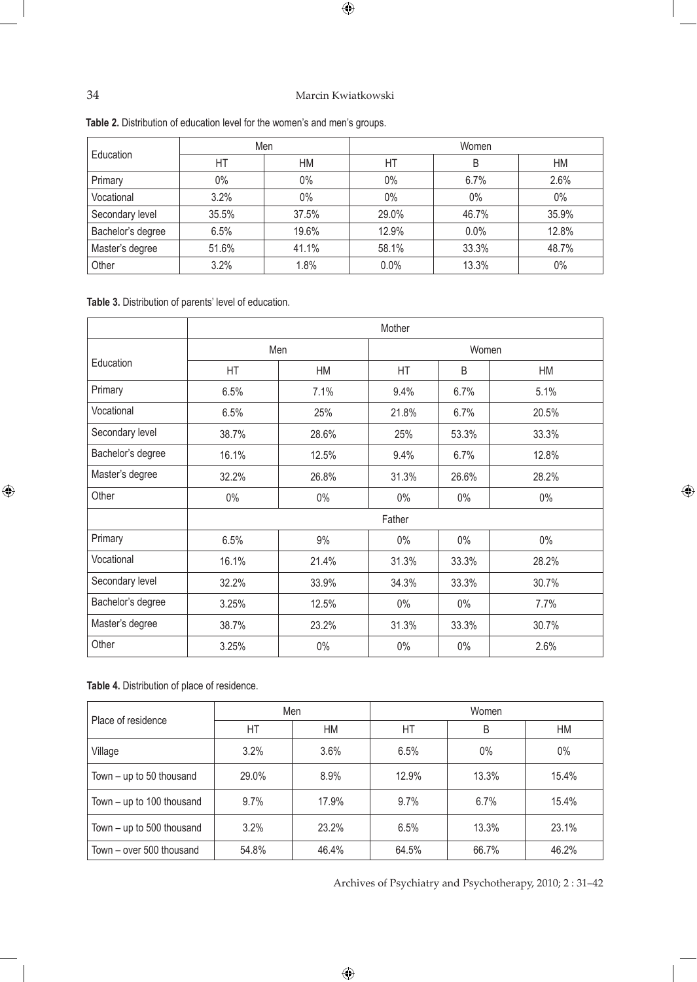## 34 Marcin Kwiatkowski

 $\bigoplus$ 

| Education         |       | Men   | Women |       |       |  |  |
|-------------------|-------|-------|-------|-------|-------|--|--|
|                   | HT    | НM    | HT    | B     | HM    |  |  |
| Primary           | $0\%$ | $0\%$ | 0%    | 6.7%  | 2.6%  |  |  |
| Vocational        | 3.2%  | $0\%$ | 0%    | 0%    | $0\%$ |  |  |
| Secondary level   | 35.5% | 37.5% | 29.0% | 46.7% | 35.9% |  |  |
| Bachelor's degree | 6.5%  | 19.6% | 12.9% | 0.0%  | 12.8% |  |  |
| Master's degree   | 51.6% | 41.1% | 58.1% | 33.3% | 48.7% |  |  |
| Other             | 3.2%  | 1.8%  | 0.0%  | 13.3% | 0%    |  |  |

**Table 2.** Distribution of education level for the women's and men's groups.

**Table 3.** Distribution of parents' level of education.

|                   | Mother    |       |        |       |       |  |
|-------------------|-----------|-------|--------|-------|-------|--|
|                   |           | Men   | Women  |       |       |  |
| Education         | <b>HT</b> | HM    | HT     | B     | HM    |  |
| Primary           | 6.5%      | 7.1%  | 9.4%   | 6.7%  | 5.1%  |  |
| Vocational        | 6.5%      | 25%   | 21.8%  | 6.7%  | 20.5% |  |
| Secondary level   | 38.7%     | 28.6% | 25%    | 53.3% | 33.3% |  |
| Bachelor's degree | 16.1%     | 12.5% | 9.4%   | 6.7%  | 12.8% |  |
| Master's degree   | 32.2%     | 26.8% | 31.3%  | 26.6% | 28.2% |  |
| Other             | $0\%$     | $0\%$ | $0\%$  | $0\%$ | $0\%$ |  |
|                   |           |       | Father |       |       |  |
| Primary           | 6.5%      | 9%    | $0\%$  | $0\%$ | $0\%$ |  |
| Vocational        | 16.1%     | 21.4% | 31.3%  | 33.3% | 28.2% |  |
| Secondary level   | 32.2%     | 33.9% | 34.3%  | 33.3% | 30.7% |  |
| Bachelor's degree | 3.25%     | 12.5% | $0\%$  | $0\%$ | 7.7%  |  |
| Master's degree   | 38.7%     | 23.2% | 31.3%  | 33.3% | 30.7% |  |
| Other             | 3.25%     | 0%    | $0\%$  | 0%    | 2.6%  |  |

**Table 4.** Distribution of place of residence.

| Place of residence          |       | Men   | Women   |       |       |  |
|-----------------------------|-------|-------|---------|-------|-------|--|
|                             | НT    | НM    | HT      | B     | НM    |  |
| Village                     | 3.2%  | 3.6%  | 6.5%    | $0\%$ | $0\%$ |  |
| Town $-$ up to 50 thousand  | 29.0% | 8.9%  | 12.9%   | 13.3% | 15.4% |  |
| Town $-$ up to 100 thousand | 9.7%  | 17.9% | $9.7\%$ | 6.7%  | 15.4% |  |
| Town - up to 500 thousand   | 3.2%  | 23.2% | 6.5%    | 13.3% | 23.1% |  |
| Town - over 500 thousand    | 54.8% | 46.4% | 64.5%   | 66.7% | 46.2% |  |

 $\bigoplus$ 

Archives of Psychiatry and Psychotherapy, 2010; 2 : 31–42

 $\bigoplus$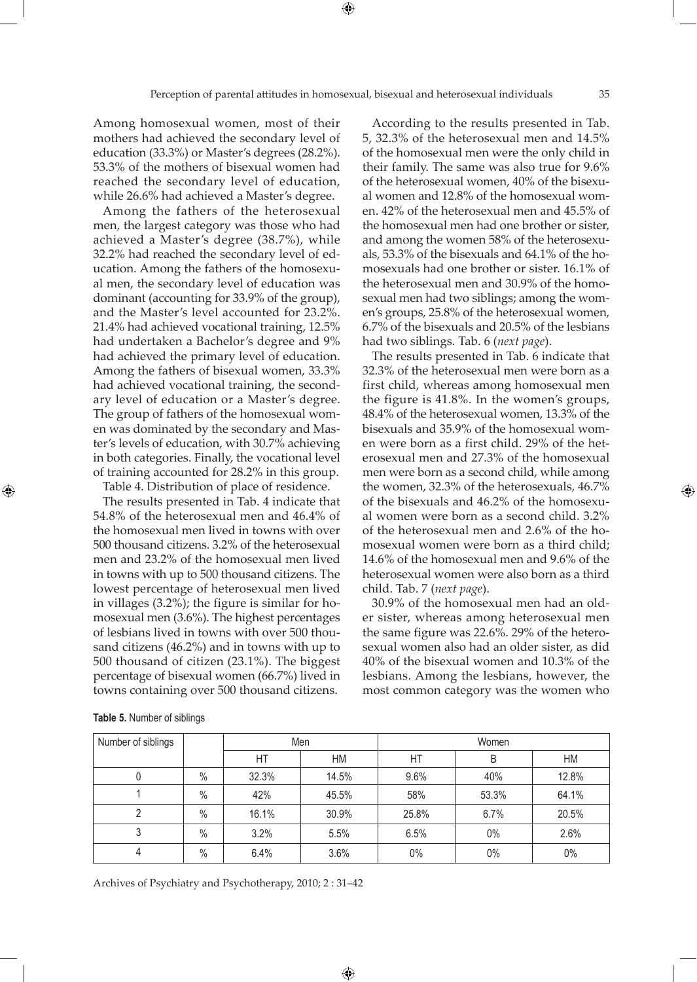⊕

Among homosexual women, most of their mothers had achieved the secondary level of education (33.3%) or Master's degrees (28.2%). 53.3% of the mothers of bisexual women had reached the secondary level of education, while 26.6% had achieved a Master's degree.

Among the fathers of the heterosexual men, the largest category was those who had achieved a Master's degree (38.7%), while 32.2% had reached the secondary level of education. Among the fathers of the homosexual men, the secondary level of education was dominant (accounting for 33.9% of the group), and the Master's level accounted for 23.2%. 21.4% had achieved vocational training, 12.5% had undertaken a Bachelor's degree and 9% had achieved the primary level of education. Among the fathers of bisexual women, 33.3% had achieved vocational training, the secondary level of education or a Master's degree. The group of fathers of the homosexual women was dominated by the secondary and Master's levels of education, with 30.7% achieving in both categories. Finally, the vocational level of training accounted for 28.2% in this group. Table 4. Distribution of place of residence.

The results presented in Tab. 4 indicate that 54.8% of the heterosexual men and 46.4% of the homosexual men lived in towns with over 500 thousand citizens. 3.2% of the heterosexual men and 23.2% of the homosexual men lived in towns with up to 500 thousand citizens. The lowest percentage of heterosexual men lived in villages (3.2%); the figure is similar for homosexual men (3.6%). The highest percentages of lesbians lived in towns with over 500 thousand citizens (46.2%) and in towns with up to 500 thousand of citizen (23.1%). The biggest percentage of bisexual women (66.7%) lived in towns containing over 500 thousand citizens.

According to the results presented in Tab. 5, 32.3% of the heterosexual men and 14.5% of the homosexual men were the only child in their family. The same was also true for 9.6% of the heterosexual women, 40% of the bisexual women and 12.8% of the homosexual women. 42% of the heterosexual men and 45.5% of the homosexual men had one brother or sister, and among the women 58% of the heterosexuals, 53.3% of the bisexuals and 64.1% of the homosexuals had one brother or sister. 16.1% of the heterosexual men and 30.9% of the homosexual men had two siblings; among the women's groups, 25.8% of the heterosexual women, 6.7% of the bisexuals and 20.5% of the lesbians had two siblings. Tab. 6 (*next page*).

The results presented in Tab. 6 indicate that 32.3% of the heterosexual men were born as a first child, whereas among homosexual men the figure is 41.8%. In the women's groups, 48.4% of the heterosexual women, 13.3% of the bisexuals and 35.9% of the homosexual women were born as a first child. 29% of the heterosexual men and 27.3% of the homosexual men were born as a second child, while among the women, 32.3% of the heterosexuals, 46.7% of the bisexuals and 46.2% of the homosexual women were born as a second child. 3.2% of the heterosexual men and 2.6% of the homosexual women were born as a third child; 14.6% of the homosexual men and 9.6% of the heterosexual women were also born as a third child. Tab. 7 (*next page*).

30.9% of the homosexual men had an older sister, whereas among heterosexual men the same figure was 22.6%. 29% of the heterosexual women also had an older sister, as did 40% of the bisexual women and 10.3% of the lesbians. Among the lesbians, however, the most common category was the women who

| Number of siblings |      |       | Men   | Women |       |       |  |
|--------------------|------|-------|-------|-------|-------|-------|--|
|                    |      | НT    | НM    | НT    | B     | HM    |  |
|                    | $\%$ | 32.3% | 14.5% | 9.6%  | 40%   | 12.8% |  |
|                    | $\%$ | 42%   | 45.5% | 58%   | 53.3% | 64.1% |  |
| っ                  | $\%$ | 16.1% | 30.9% | 25.8% | 6.7%  | 20.5% |  |
| 3                  | $\%$ | 3.2%  | 5.5%  | 6.5%  | $0\%$ | 2.6%  |  |
| 4                  | $\%$ | 6.4%  | 3.6%  | 0%    | $0\%$ | 0%    |  |

 $\bigoplus$ 

**Table 5.** Number of siblings

⊕

Archives of Psychiatry and Psychotherapy, 2010; 2 : 31–42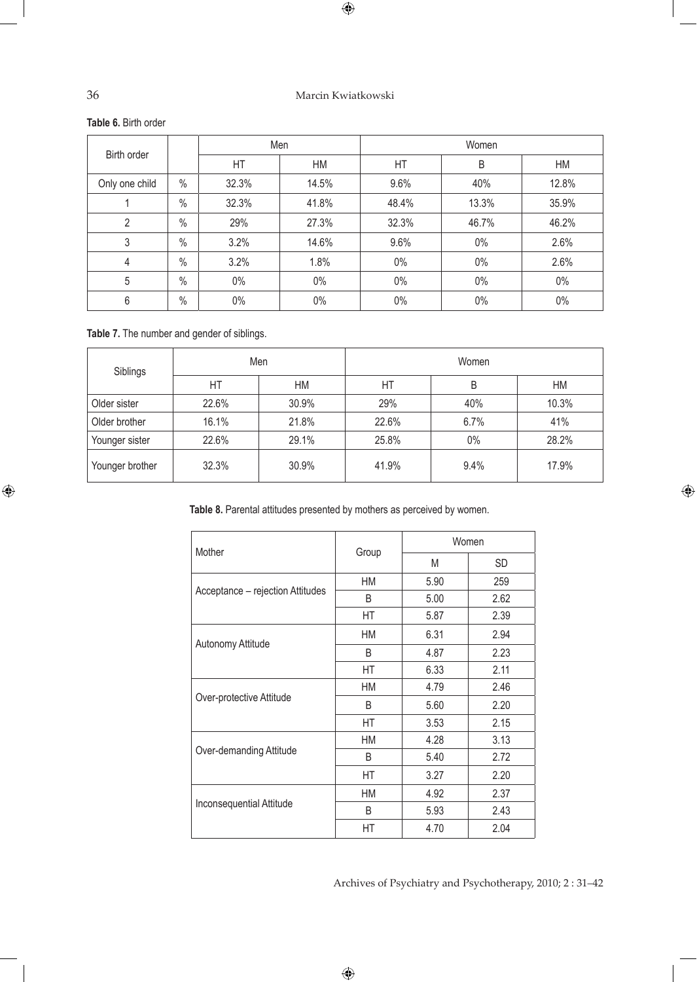## 36 Marcin Kwiatkowski

 $\bigoplus$ 

**Table 6.** Birth order

| Birth order    |               |       | Men   |       | Women |       |  |
|----------------|---------------|-------|-------|-------|-------|-------|--|
|                |               | HT    | HM    | HT    | B     | HM    |  |
| Only one child | $\%$          | 32.3% | 14.5% | 9.6%  | 40%   | 12.8% |  |
|                | $\%$          | 32.3% | 41.8% | 48.4% | 13.3% | 35.9% |  |
| 2              | $\frac{0}{0}$ | 29%   | 27.3% | 32.3% | 46.7% | 46.2% |  |
| 3              | $\frac{0}{0}$ | 3.2%  | 14.6% | 9.6%  | $0\%$ | 2.6%  |  |
| $\overline{4}$ | $\frac{0}{0}$ | 3.2%  | 1.8%  | $0\%$ | $0\%$ | 2.6%  |  |
| 5              | $\frac{0}{0}$ | $0\%$ | $0\%$ | $0\%$ | $0\%$ | $0\%$ |  |
| 6              | $\frac{0}{0}$ | $0\%$ | $0\%$ | $0\%$ | $0\%$ | $0\%$ |  |

**Table 7.** The number and gender of siblings.

| Siblings        | Men   |       | Women |       |       |  |
|-----------------|-------|-------|-------|-------|-------|--|
|                 | НT    | НM    | HT    | В     | HM    |  |
| Older sister    | 22.6% | 30.9% | 29%   | 40%   | 10.3% |  |
| Older brother   | 16.1% | 21.8% | 22.6% | 6.7%  | 41%   |  |
| Younger sister  | 22.6% | 29.1% | 25.8% | $0\%$ | 28.2% |  |
| Younger brother | 32.3% | 30.9% | 41.9% | 9.4%  | 17.9% |  |

**Table 8.** Parental attitudes presented by mothers as perceived by women.

| Mother                           |       |      | Women     |
|----------------------------------|-------|------|-----------|
|                                  | Group | M    | <b>SD</b> |
|                                  | НM    | 5.90 | 259       |
| Acceptance - rejection Attitudes | B     | 5.00 | 2.62      |
|                                  | HT    | 5.87 | 2.39      |
|                                  | НM    | 6.31 | 2.94      |
| Autonomy Attitude                | B     | 4.87 | 2.23      |
|                                  | HT    | 6.33 | 2.11      |
|                                  | НM    | 4.79 | 2.46      |
| Over-protective Attitude         | B     | 5.60 | 2.20      |
|                                  | НT    | 3.53 | 2.15      |
|                                  | НM    | 4.28 | 3.13      |
| Over-demanding Attitude          | B     | 5.40 | 2.72      |
|                                  | HT    | 3.27 | 2.20      |
|                                  | НM    | 4.92 | 2.37      |
| Inconsequential Attitude         | B     | 5.93 | 2.43      |
|                                  | HT    | 4.70 | 2.04      |

 $\bigoplus$ 

Archives of Psychiatry and Psychotherapy, 2010; 2 : 31–42

 $\bigoplus$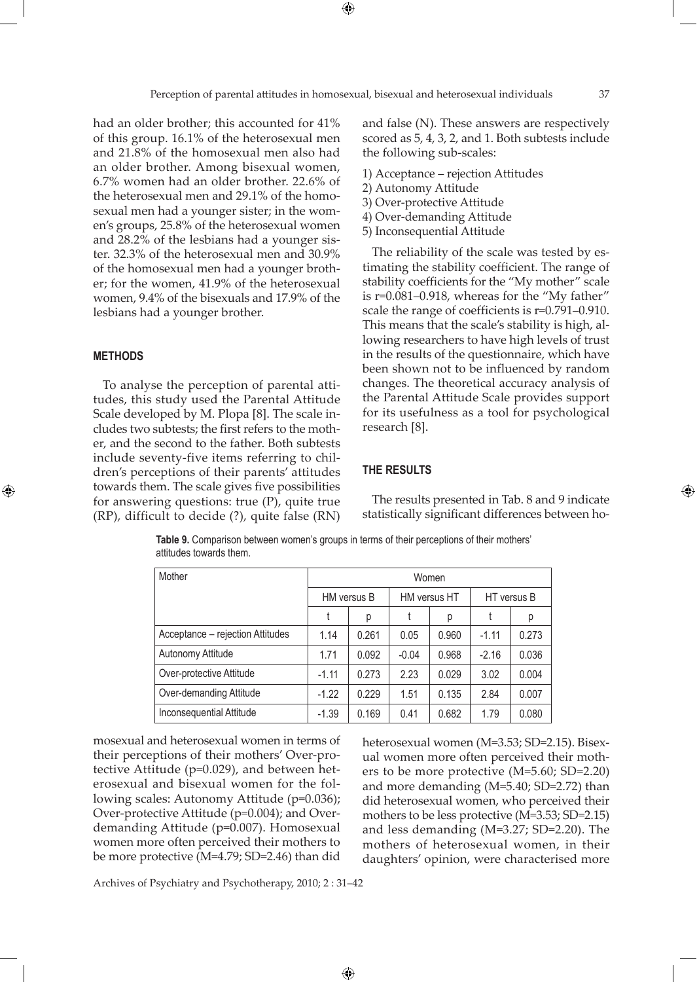⊕

had an older brother; this accounted for 41% of this group. 16.1% of the heterosexual men and 21.8% of the homosexual men also had an older brother. Among bisexual women, 6.7% women had an older brother. 22.6% of the heterosexual men and 29.1% of the homosexual men had a younger sister; in the women's groups, 25.8% of the heterosexual women and 28.2% of the lesbians had a younger sister. 32.3% of the heterosexual men and 30.9% of the homosexual men had a younger brother; for the women, 41.9% of the heterosexual women, 9.4% of the bisexuals and 17.9% of the lesbians had a younger brother.

#### **METHODS**

⊕

To analyse the perception of parental attitudes, this study used the Parental Attitude Scale developed by M. Plopa [8]. The scale includes two subtests; the first refers to the mother, and the second to the father. Both subtests include seventy-five items referring to children's perceptions of their parents' attitudes towards them. The scale gives five possibilities for answering questions: true (P), quite true (RP), difficult to decide (?), quite false (RN) and false (N). These answers are respectively scored as 5, 4, 3, 2, and 1. Both subtests include the following sub-scales:

- 1) Acceptance rejection Attitudes
- 2) Autonomy Attitude
- 3) Over-protective Attitude
- 4) Over-demanding Attitude
- 5) Inconsequential Attitude

The reliability of the scale was tested by estimating the stability coefficient. The range of stability coefficients for the "My mother" scale is r=0.081–0.918, whereas for the "My father" scale the range of coefficients is r=0.791–0.910. This means that the scale's stability is high, allowing researchers to have high levels of trust in the results of the questionnaire, which have been shown not to be influenced by random changes. The theoretical accuracy analysis of the Parental Attitude Scale provides support for its usefulness as a tool for psychological research [8].

#### **THE RESULTS**

The results presented in Tab. 8 and 9 indicate statistically significant differences between ho-

**Table 9.** Comparison between women's groups in terms of their perceptions of their mothers' attitudes towards them.

| Mother                           | Women   |             |         |              |         |             |  |  |
|----------------------------------|---------|-------------|---------|--------------|---------|-------------|--|--|
|                                  |         | HM versus B |         | HM versus HT |         | HT versus B |  |  |
|                                  |         | р           | t       | р            |         | р           |  |  |
| Acceptance - rejection Attitudes | 1.14    | 0.261       | 0.05    | 0.960        | $-1.11$ | 0.273       |  |  |
| Autonomy Attitude                | 1.71    | 0.092       | $-0.04$ | 0.968        | $-2.16$ | 0.036       |  |  |
| Over-protective Attitude         | $-1.11$ | 0.273       | 2.23    | 0.029        | 3.02    | 0.004       |  |  |
| Over-demanding Attitude          | $-1.22$ | 0.229       | 1.51    | 0.135        | 2.84    | 0.007       |  |  |
| Inconsequential Attitude         | $-1.39$ | 0.169       | 0.41    | 0.682        | 1.79    | 0.080       |  |  |

 $\bigoplus$ 

mosexual and heterosexual women in terms of their perceptions of their mothers' Over-protective Attitude (p=0.029), and between heterosexual and bisexual women for the following scales: Autonomy Attitude (p=0.036); Over-protective Attitude (p=0.004); and Overdemanding Attitude (p=0.007). Homosexual women more often perceived their mothers to be more protective (M=4.79; SD=2.46) than did

heterosexual women (M=3.53; SD=2.15). Bisexual women more often perceived their mothers to be more protective (M=5.60; SD=2.20) and more demanding (M=5.40; SD=2.72) than did heterosexual women, who perceived their mothers to be less protective (M=3.53; SD=2.15) and less demanding (M=3.27; SD=2.20). The mothers of heterosexual women, in their daughters' opinion, were characterised more

Archives of Psychiatry and Psychotherapy, 2010; 2 : 31–42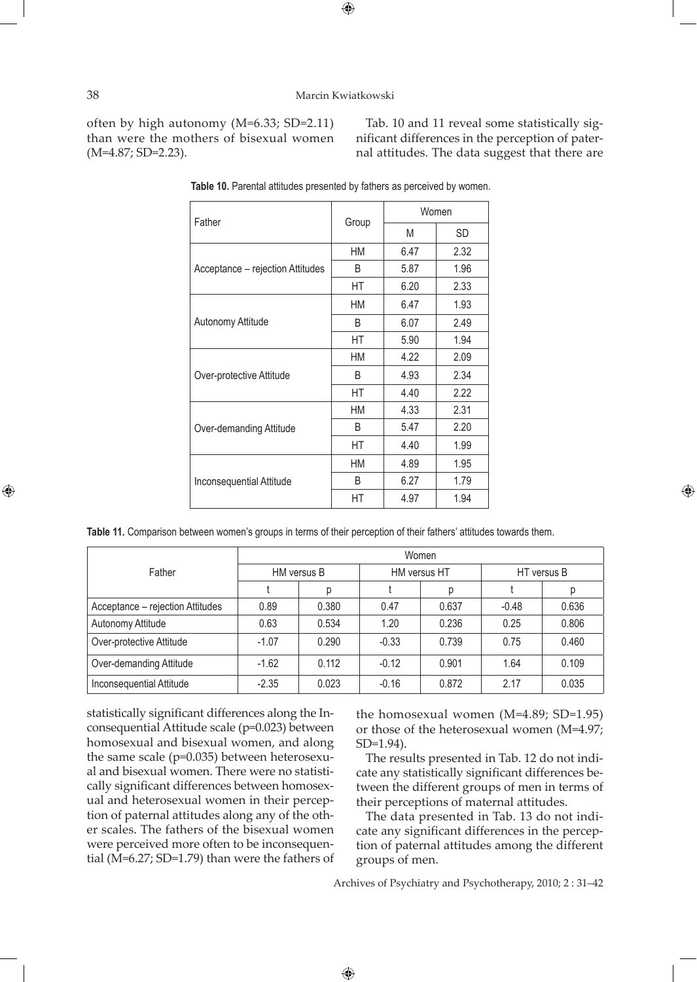$\bigoplus$ 

often by high autonomy (M=6.33; SD=2.11) than were the mothers of bisexual women (M=4.87; SD=2.23).

Tab. 10 and 11 reveal some statistically significant differences in the perception of paternal attitudes. The data suggest that there are

| Father                           |       | Women |           |  |  |
|----------------------------------|-------|-------|-----------|--|--|
|                                  | Group | Μ     | <b>SD</b> |  |  |
|                                  | HM    | 6.47  | 2.32      |  |  |
| Acceptance - rejection Attitudes | B     | 5.87  | 1.96      |  |  |
|                                  | НT    | 6.20  | 2.33      |  |  |
|                                  | HM    | 6.47  | 1.93      |  |  |
| Autonomy Attitude                | B     | 6.07  | 2.49      |  |  |
|                                  | НT    | 5.90  | 1.94      |  |  |
|                                  | HM    | 4.22  | 2.09      |  |  |
| Over-protective Attitude         | B     | 4.93  | 2.34      |  |  |
|                                  | HT    | 4.40  | 2.22      |  |  |
|                                  | HM    | 4.33  | 2.31      |  |  |
| Over-demanding Attitude          | B     | 5.47  | 2.20      |  |  |
|                                  | НT    | 4.40  | 1.99      |  |  |
|                                  | HM    | 4.89  | 1.95      |  |  |
| Inconsequential Attitude         | B     | 6.27  | 1.79      |  |  |
|                                  | HT    | 4.97  | 1.94      |  |  |

**Table 10.** Parental attitudes presented by fathers as perceived by women.

**Table 11.** Comparison between women's groups in terms of their perception of their fathers' attitudes towards them.

|                                  | Women       |       |         |              |             |       |  |  |  |
|----------------------------------|-------------|-------|---------|--------------|-------------|-------|--|--|--|
| Father                           | HM versus B |       |         | HM versus HT | HT versus B |       |  |  |  |
|                                  |             | D     |         | р            |             |       |  |  |  |
| Acceptance - rejection Attitudes | 0.89        | 0.380 | 0.47    | 0.637        | $-0.48$     | 0.636 |  |  |  |
| Autonomy Attitude                | 0.63        | 0.534 | 1.20    | 0.236        | 0.25        | 0.806 |  |  |  |
| Over-protective Attitude         | $-1.07$     | 0.290 | $-0.33$ | 0.739        | 0.75        | 0.460 |  |  |  |
| Over-demanding Attitude          | $-1.62$     | 0.112 | $-0.12$ | 0.901        | 1.64        | 0.109 |  |  |  |
| Inconsequential Attitude         | $-2.35$     | 0.023 | $-0.16$ | 0.872        | 2.17        | 0.035 |  |  |  |

 $\bigoplus$ 

statistically significant differences along the Inconsequential Attitude scale (p=0.023) between homosexual and bisexual women, and along the same scale (p=0.035) between heterosexual and bisexual women. There were no statistically significant differences between homosexual and heterosexual women in their perception of paternal attitudes along any of the other scales. The fathers of the bisexual women were perceived more often to be inconsequential (M=6.27; SD=1.79) than were the fathers of the homosexual women (M=4.89; SD=1.95) or those of the heterosexual women (M=4.97; SD=1.94).

⊕

The results presented in Tab. 12 do not indicate any statistically significant differences between the different groups of men in terms of their perceptions of maternal attitudes.

The data presented in Tab. 13 do not indicate any significant differences in the perception of paternal attitudes among the different groups of men.

Archives of Psychiatry and Psychotherapy, 2010; 2 : 31–42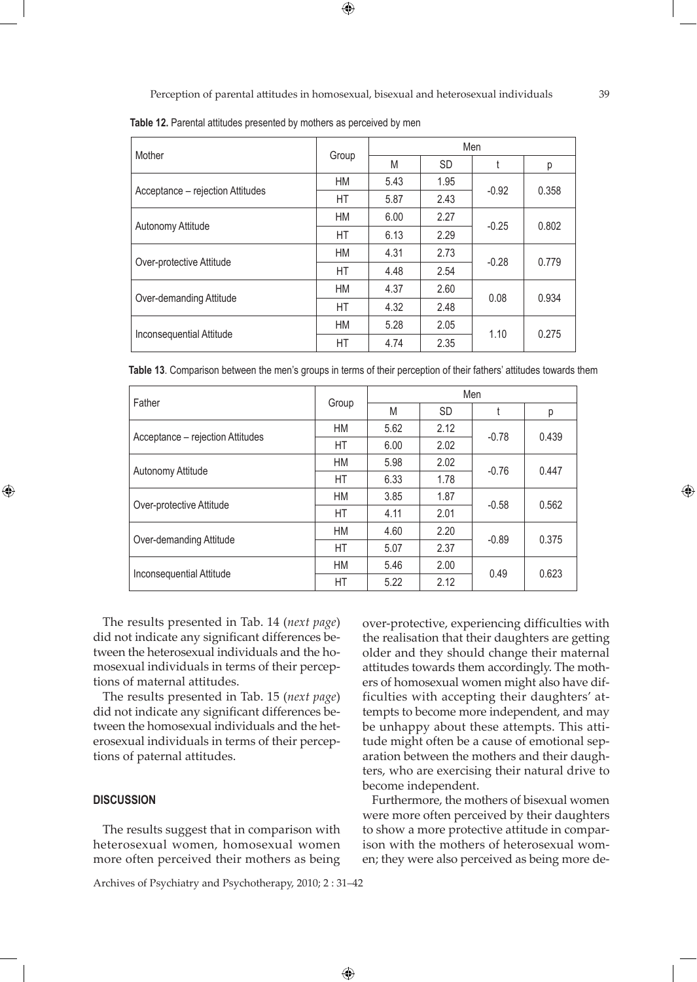$\bigoplus$ 

**Table 12.** Parental attitudes presented by mothers as perceived by men

| Mother                           |           |      |           | Men     |       |
|----------------------------------|-----------|------|-----------|---------|-------|
|                                  | Group     | M    | <b>SD</b> |         | р     |
| Acceptance - rejection Attitudes | HM        | 5.43 | 1.95      | $-0.92$ | 0.358 |
|                                  | HT        | 5.87 | 2.43      |         |       |
|                                  | HM        | 6.00 | 2.27      | $-0.25$ | 0.802 |
| Autonomy Attitude                | HT        | 6.13 | 2.29      |         |       |
|                                  | <b>HM</b> | 4.31 | 2.73      | $-0.28$ | 0.779 |
| Over-protective Attitude         | HT        | 4.48 | 2.54      |         |       |
|                                  | <b>HM</b> | 4.37 | 2.60      | 0.08    | 0.934 |
| Over-demanding Attitude          | <b>HT</b> | 4.32 | 2.48      |         |       |
|                                  | HM        | 5.28 | 2.05      |         | 0.275 |
| Inconsequential Attitude         | HT        | 4.74 | 2.35      | 1.10    |       |

**Table 13**. Comparison between the men's groups in terms of their perception of their fathers' attitudes towards them

| Father                           | Group     | Men  |           |         |       |  |
|----------------------------------|-----------|------|-----------|---------|-------|--|
|                                  |           | M    | <b>SD</b> |         | р     |  |
| Acceptance - rejection Attitudes | HM        | 5.62 | 2.12      | $-0.78$ | 0.439 |  |
|                                  | НT        | 6.00 | 2.02      |         |       |  |
| Autonomy Attitude                | HM        | 5.98 | 2.02      | $-0.76$ | 0.447 |  |
|                                  | HT        | 6.33 | 1.78      |         |       |  |
| Over-protective Attitude         | HM        | 3.85 | 1.87      | $-0.58$ | 0.562 |  |
|                                  | HT        | 4.11 | 2.01      |         |       |  |
| Over-demanding Attitude          | <b>HM</b> | 4.60 | 2.20      | $-0.89$ | 0.375 |  |
|                                  | HT        | 5.07 | 2.37      |         |       |  |
| Inconsequential Attitude         | <b>HM</b> | 5.46 | 2.00      |         | 0.623 |  |
|                                  | HT        | 5.22 | 2.12      | 0.49    |       |  |

 $\bigoplus$ 

The results presented in Tab. 14 (*next page*) did not indicate any significant differences between the heterosexual individuals and the homosexual individuals in terms of their perceptions of maternal attitudes.

The results presented in Tab. 15 (*next page*) did not indicate any significant differences between the homosexual individuals and the heterosexual individuals in terms of their perceptions of paternal attitudes.

#### **DISCUSSION**

⊕

The results suggest that in comparison with heterosexual women, homosexual women more often perceived their mothers as being

Archives of Psychiatry and Psychotherapy, 2010; 2 : 31–42

over-protective, experiencing difficulties with the realisation that their daughters are getting older and they should change their maternal attitudes towards them accordingly. The mothers of homosexual women might also have difficulties with accepting their daughters' attempts to become more independent, and may be unhappy about these attempts. This attitude might often be a cause of emotional separation between the mothers and their daughters, who are exercising their natural drive to become independent.

Furthermore, the mothers of bisexual women were more often perceived by their daughters to show a more protective attitude in comparison with the mothers of heterosexual women; they were also perceived as being more de-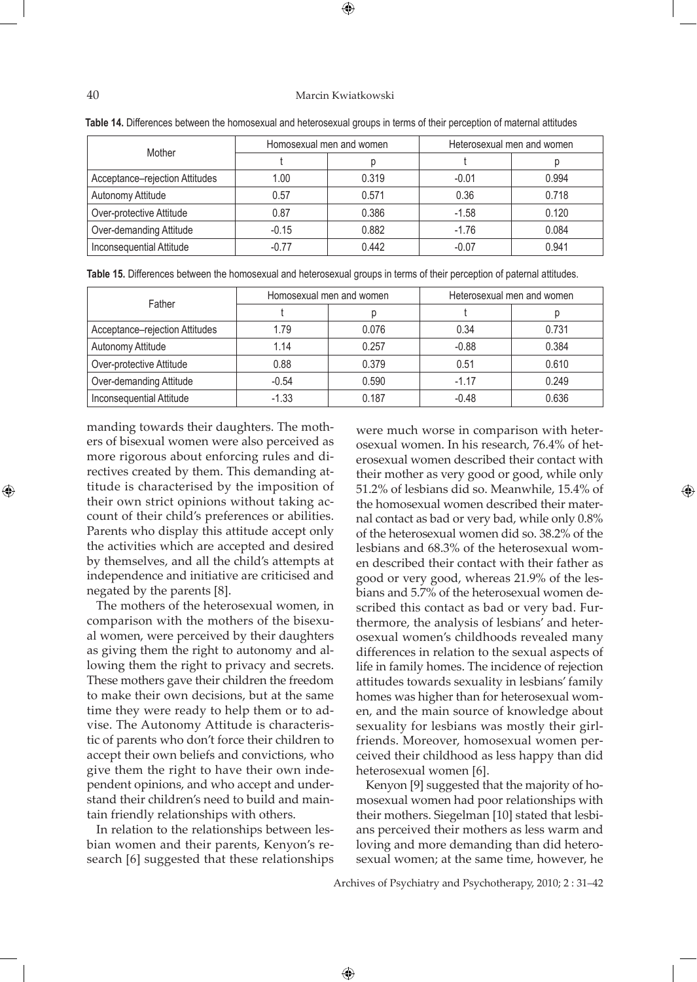## 40 Marcin Kwiatkowski

| Mother                         |         | Homosexual men and women | Heterosexual men and women |       |  |
|--------------------------------|---------|--------------------------|----------------------------|-------|--|
|                                |         |                          |                            |       |  |
| Acceptance-rejection Attitudes | 1.00    | 0.319                    | $-0.01$                    | 0.994 |  |
| Autonomy Attitude              | 0.57    | 0.571                    | 0.36                       | 0.718 |  |
| Over-protective Attitude       | 0.87    | 0.386                    | $-1.58$                    | 0.120 |  |
| Over-demanding Attitude        | $-0.15$ | 0.882                    | $-1.76$                    | 0.084 |  |
| Inconsequential Attitude       | $-0.77$ | 0.442                    | $-0.07$                    | 0.941 |  |

| Table 14. Differences between the homosexual and heterosexual groups in terms of their perception of maternal attitudes |  |
|-------------------------------------------------------------------------------------------------------------------------|--|
|-------------------------------------------------------------------------------------------------------------------------|--|

**Table 15.** Differences between the homosexual and heterosexual groups in terms of their perception of paternal attitudes.

| Father                         |         | Homosexual men and women | Heterosexual men and women |       |  |
|--------------------------------|---------|--------------------------|----------------------------|-------|--|
|                                |         |                          |                            |       |  |
| Acceptance-rejection Attitudes | 1.79    | 0.076                    | 0.34                       | 0.731 |  |
| Autonomy Attitude              | 1.14    | 0.257                    | $-0.88$                    | 0.384 |  |
| Over-protective Attitude       | 0.88    | 0.379                    | 0.51                       | 0.610 |  |
| Over-demanding Attitude        | $-0.54$ | 0.590                    | $-1.17$                    | 0.249 |  |
| Inconsequential Attitude       | $-1.33$ | 0.187                    | $-0.48$                    | 0.636 |  |

 $\bigoplus$ 

manding towards their daughters. The mothers of bisexual women were also perceived as more rigorous about enforcing rules and directives created by them. This demanding attitude is characterised by the imposition of their own strict opinions without taking account of their child's preferences or abilities. Parents who display this attitude accept only the activities which are accepted and desired by themselves, and all the child's attempts at independence and initiative are criticised and negated by the parents [8].

The mothers of the heterosexual women, in comparison with the mothers of the bisexual women, were perceived by their daughters as giving them the right to autonomy and allowing them the right to privacy and secrets. These mothers gave their children the freedom to make their own decisions, but at the same time they were ready to help them or to advise. The Autonomy Attitude is characteristic of parents who don't force their children to accept their own beliefs and convictions, who give them the right to have their own independent opinions, and who accept and understand their children's need to build and maintain friendly relationships with others.

In relation to the relationships between lesbian women and their parents, Kenyon's research [6] suggested that these relationships were much worse in comparison with heterosexual women. In his research, 76.4% of heterosexual women described their contact with their mother as very good or good, while only 51.2% of lesbians did so. Meanwhile, 15.4% of the homosexual women described their maternal contact as bad or very bad, while only 0.8% of the heterosexual women did so. 38.2% of the lesbians and 68.3% of the heterosexual women described their contact with their father as good or very good, whereas 21.9% of the lesbians and 5.7% of the heterosexual women described this contact as bad or very bad. Furthermore, the analysis of lesbians' and heterosexual women's childhoods revealed many differences in relation to the sexual aspects of life in family homes. The incidence of rejection attitudes towards sexuality in lesbians' family homes was higher than for heterosexual women, and the main source of knowledge about sexuality for lesbians was mostly their girlfriends. Moreover, homosexual women perceived their childhood as less happy than did heterosexual women [6].

Kenyon [9] suggested that the majority of homosexual women had poor relationships with their mothers. Siegelman [10] stated that lesbians perceived their mothers as less warm and loving and more demanding than did heterosexual women; at the same time, however, he

Archives of Psychiatry and Psychotherapy, 2010; 2 : 31–42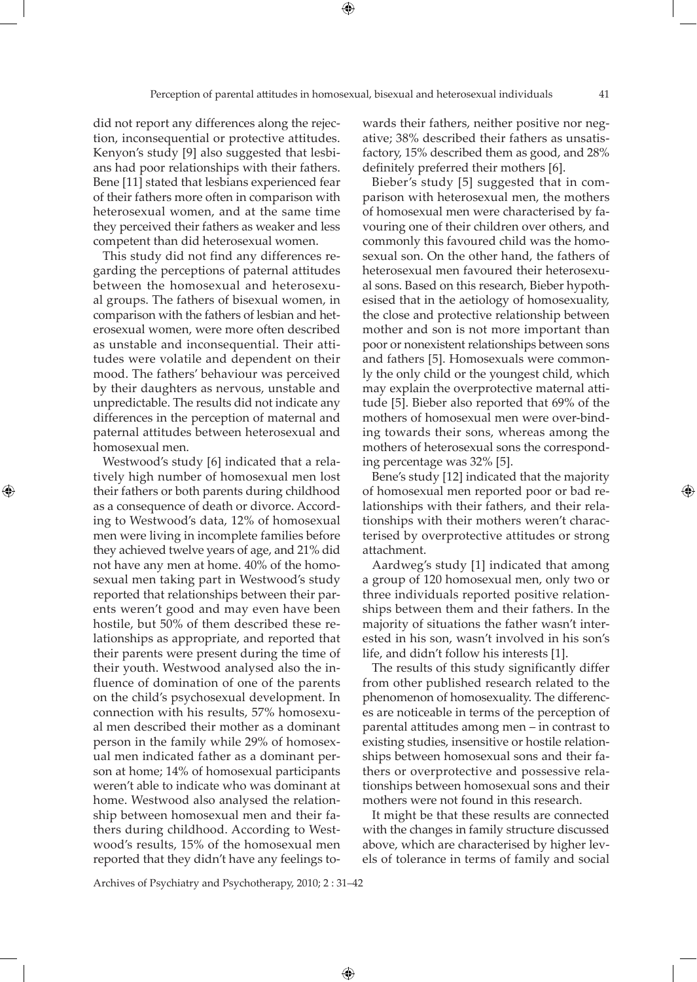did not report any differences along the rejection, inconsequential or protective attitudes. Kenyon's study [9] also suggested that lesbians had poor relationships with their fathers. Bene [11] stated that lesbians experienced fear of their fathers more often in comparison with heterosexual women, and at the same time they perceived their fathers as weaker and less competent than did heterosexual women.

This study did not find any differences regarding the perceptions of paternal attitudes between the homosexual and heterosexual groups. The fathers of bisexual women, in comparison with the fathers of lesbian and heterosexual women, were more often described as unstable and inconsequential. Their attitudes were volatile and dependent on their mood. The fathers' behaviour was perceived by their daughters as nervous, unstable and unpredictable. The results did not indicate any differences in the perception of maternal and paternal attitudes between heterosexual and homosexual men.

⊕

Westwood's study [6] indicated that a relatively high number of homosexual men lost their fathers or both parents during childhood as a consequence of death or divorce. According to Westwood's data, 12% of homosexual men were living in incomplete families before they achieved twelve years of age, and 21% did not have any men at home. 40% of the homosexual men taking part in Westwood's study reported that relationships between their parents weren't good and may even have been hostile, but 50% of them described these relationships as appropriate, and reported that their parents were present during the time of their youth. Westwood analysed also the influence of domination of one of the parents on the child's psychosexual development. In connection with his results, 57% homosexual men described their mother as a dominant person in the family while 29% of homosexual men indicated father as a dominant person at home; 14% of homosexual participants weren't able to indicate who was dominant at home. Westwood also analysed the relationship between homosexual men and their fathers during childhood. According to Westwood's results, 15% of the homosexual men reported that they didn't have any feelings towards their fathers, neither positive nor negative; 38% described their fathers as unsatisfactory, 15% described them as good, and 28% definitely preferred their mothers [6].

Bieber's study [5] suggested that in comparison with heterosexual men, the mothers of homosexual men were characterised by favouring one of their children over others, and commonly this favoured child was the homosexual son. On the other hand, the fathers of heterosexual men favoured their heterosexual sons. Based on this research, Bieber hypothesised that in the aetiology of homosexuality, the close and protective relationship between mother and son is not more important than poor or nonexistent relationships between sons and fathers [5]. Homosexuals were commonly the only child or the youngest child, which may explain the overprotective maternal attitude [5]. Bieber also reported that 69% of the mothers of homosexual men were over-binding towards their sons, whereas among the mothers of heterosexual sons the corresponding percentage was 32% [5].

Bene's study [12] indicated that the majority of homosexual men reported poor or bad relationships with their fathers, and their relationships with their mothers weren't characterised by overprotective attitudes or strong attachment.

Aardweg's study [1] indicated that among a group of 120 homosexual men, only two or three individuals reported positive relationships between them and their fathers. In the majority of situations the father wasn't interested in his son, wasn't involved in his son's life, and didn't follow his interests [1].

The results of this study significantly differ from other published research related to the phenomenon of homosexuality. The differences are noticeable in terms of the perception of parental attitudes among men – in contrast to existing studies, insensitive or hostile relationships between homosexual sons and their fathers or overprotective and possessive relationships between homosexual sons and their mothers were not found in this research.

It might be that these results are connected with the changes in family structure discussed above, which are characterised by higher levels of tolerance in terms of family and social

Archives of Psychiatry and Psychotherapy, 2010; 2 : 31–42